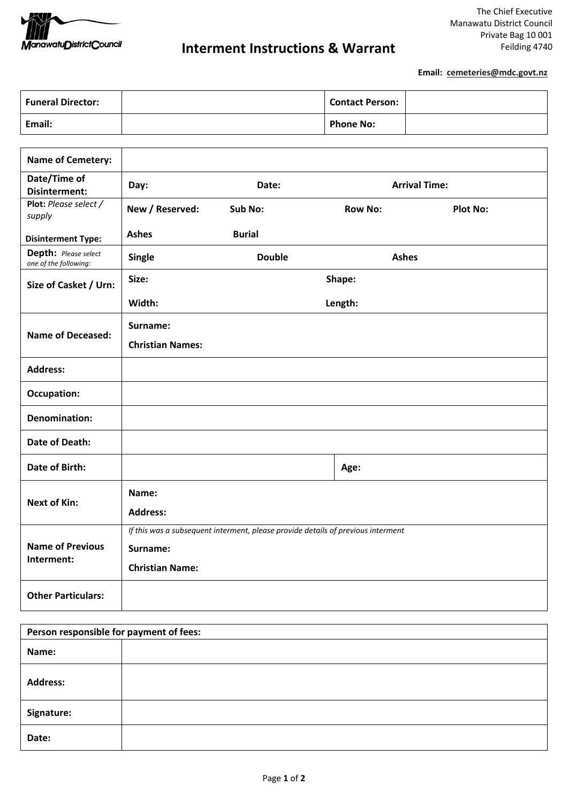

**Email: cemeteries@mdc.govt.nz** 

| <b>Funeral Director:</b> | <b>Contact Person:</b> |  |
|--------------------------|------------------------|--|
| Email:                   | <b>Phone No:</b>       |  |

| <b>Name of Cemetery:</b>                      |                                                                                  |               |                      |                 |  |
|-----------------------------------------------|----------------------------------------------------------------------------------|---------------|----------------------|-----------------|--|
| Date/Time of<br><b>Disinterment:</b>          | Day:                                                                             | Date:         | <b>Arrival Time:</b> |                 |  |
| Plot: Please select /<br>supply               | New / Reserved:                                                                  | Sub No:       | <b>Row No:</b>       | <b>Plot No:</b> |  |
| <b>Disinterment Type:</b>                     | <b>Ashes</b>                                                                     | <b>Burial</b> |                      |                 |  |
| Depth: Please select<br>one of the following: | <b>Single</b>                                                                    | <b>Double</b> |                      | <b>Ashes</b>    |  |
| Size of Casket / Urn:                         | Size:                                                                            |               | Shape:               |                 |  |
|                                               | Width:                                                                           | Length:       |                      |                 |  |
| <b>Name of Deceased:</b>                      | Surname:                                                                         |               |                      |                 |  |
|                                               | <b>Christian Names:</b>                                                          |               |                      |                 |  |
| <b>Address:</b>                               |                                                                                  |               |                      |                 |  |
| <b>Occupation:</b>                            |                                                                                  |               |                      |                 |  |
| <b>Denomination:</b>                          |                                                                                  |               |                      |                 |  |
| <b>Date of Death:</b>                         |                                                                                  |               |                      |                 |  |
| <b>Date of Birth:</b>                         |                                                                                  |               | Age:                 |                 |  |
| <b>Next of Kin:</b>                           | Name:                                                                            |               |                      |                 |  |
|                                               | <b>Address:</b>                                                                  |               |                      |                 |  |
|                                               | If this was a subsequent interment, please provide details of previous interment |               |                      |                 |  |
| <b>Name of Previous</b><br>Interment:         | Surname:                                                                         |               |                      |                 |  |
|                                               | <b>Christian Name:</b>                                                           |               |                      |                 |  |
| <b>Other Particulars:</b>                     |                                                                                  |               |                      |                 |  |

| Person responsible for payment of fees: |  |  |
|-----------------------------------------|--|--|
| Name:                                   |  |  |
| <b>Address:</b>                         |  |  |
| Signature:                              |  |  |
| Date:                                   |  |  |